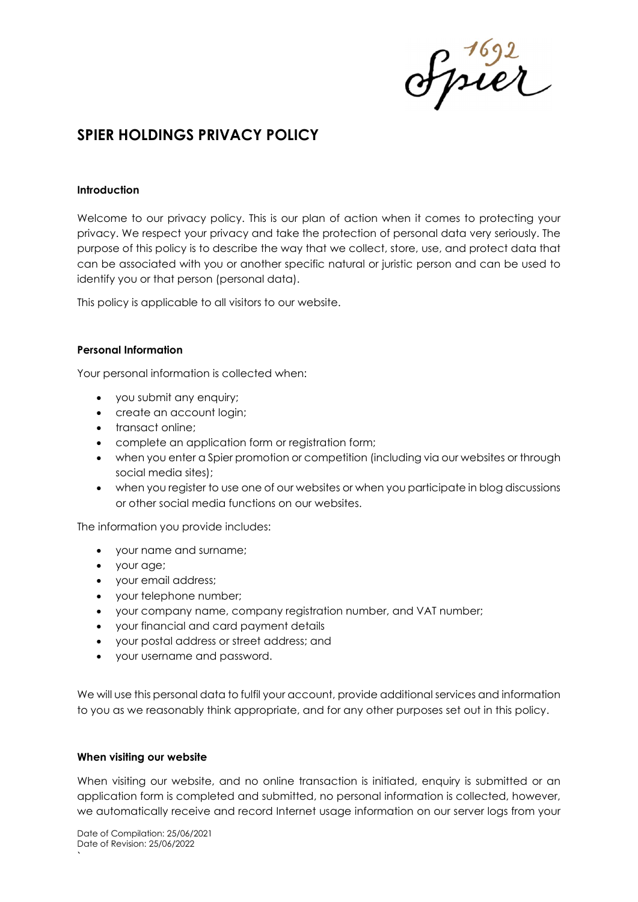ofpier

# SPIER HOLDINGS PRIVACY POLICY

#### Introduction

Welcome to our privacy policy. This is our plan of action when it comes to protecting your privacy. We respect your privacy and take the protection of personal data very seriously. The purpose of this policy is to describe the way that we collect, store, use, and protect data that can be associated with you or another specific natural or juristic person and can be used to identify you or that person (personal data).

This policy is applicable to all visitors to our website.

#### Personal Information

Your personal information is collected when:

- you submit any enquiry;
- create an account login;
- transact online;
- complete an application form or registration form;
- when you enter a Spier promotion or competition (including via our websites or through social media sites);
- when you register to use one of our websites or when you participate in blog discussions or other social media functions on our websites.

The information you provide includes:

- your name and surname;
- your age;
- your email address;
- your telephone number;
- your company name, company registration number, and VAT number;
- your financial and card payment details
- your postal address or street address; and
- your username and password.

We will use this personal data to fulfil your account, provide additional services and information to you as we reasonably think appropriate, and for any other purposes set out in this policy.

# When visiting our website

When visiting our website, and no online transaction is initiated, enquiry is submitted or an application form is completed and submitted, no personal information is collected, however, we automatically receive and record Internet usage information on our server logs from your

`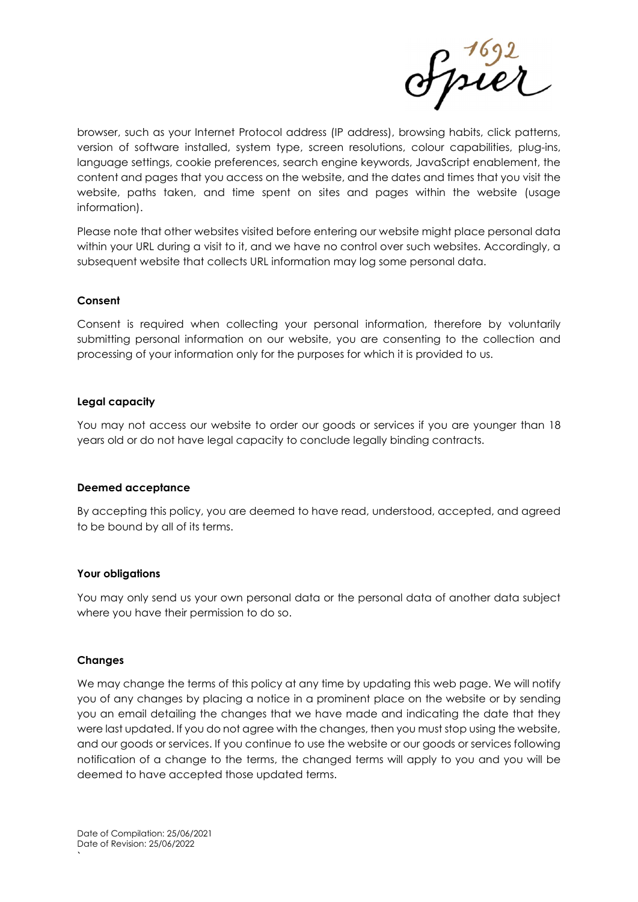ofpier

browser, such as your Internet Protocol address (IP address), browsing habits, click patterns, version of software installed, system type, screen resolutions, colour capabilities, plug-ins, language settings, cookie preferences, search engine keywords, JavaScript enablement, the content and pages that you access on the website, and the dates and times that you visit the website, paths taken, and time spent on sites and pages within the website (usage information).

Please note that other websites visited before entering our website might place personal data within your URL during a visit to it, and we have no control over such websites. Accordingly, a subsequent website that collects URL information may log some personal data.

#### Consent

Consent is required when collecting your personal information, therefore by voluntarily submitting personal information on our website, you are consenting to the collection and processing of your information only for the purposes for which it is provided to us.

#### Legal capacity

You may not access our website to order our goods or services if you are younger than 18 years old or do not have legal capacity to conclude legally binding contracts.

# Deemed acceptance

By accepting this policy, you are deemed to have read, understood, accepted, and agreed to be bound by all of its terms.

#### Your obligations

You may only send us your own personal data or the personal data of another data subject where you have their permission to do so.

#### Changes

`

We may change the terms of this policy at any time by updating this web page. We will notify you of any changes by placing a notice in a prominent place on the website or by sending you an email detailing the changes that we have made and indicating the date that they were last updated. If you do not agree with the changes, then you must stop using the website, and our goods or services. If you continue to use the website or our goods or services following notification of a change to the terms, the changed terms will apply to you and you will be deemed to have accepted those updated terms.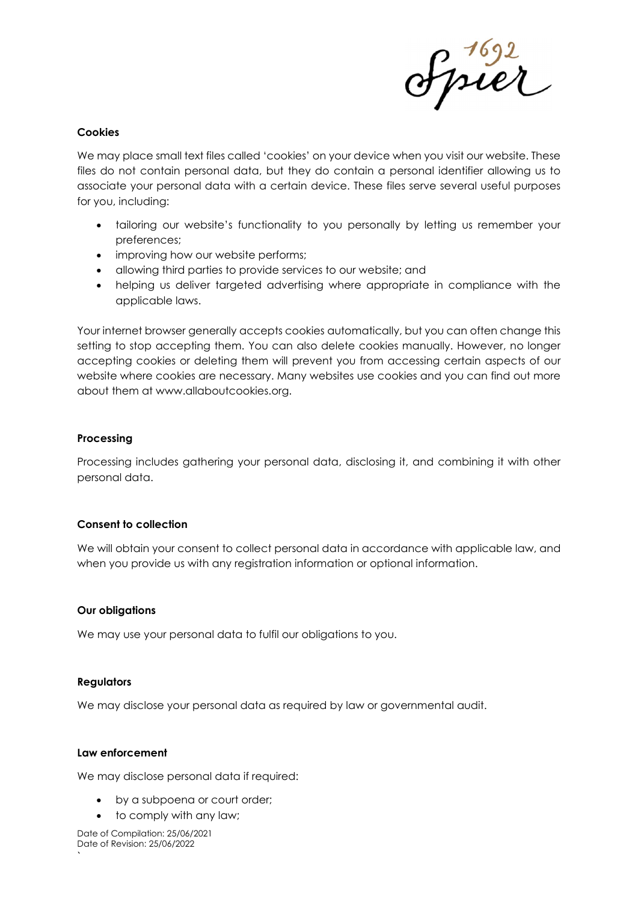

#### Cookies

We may place small text files called 'cookies' on your device when you visit our website. These files do not contain personal data, but they do contain a personal identifier allowing us to associate your personal data with a certain device. These files serve several useful purposes for you, including:

- tailoring our website's functionality to you personally by letting us remember your preferences;
- improving how our website performs;
- allowing third parties to provide services to our website; and
- helping us deliver targeted advertising where appropriate in compliance with the applicable laws.

Your internet browser generally accepts cookies automatically, but you can often change this setting to stop accepting them. You can also delete cookies manually. However, no longer accepting cookies or deleting them will prevent you from accessing certain aspects of our website where cookies are necessary. Many websites use cookies and you can find out more about them at www.allaboutcookies.org.

# Processing

Processing includes gathering your personal data, disclosing it, and combining it with other personal data.

# Consent to collection

We will obtain your consent to collect personal data in accordance with applicable law, and when you provide us with any registration information or optional information.

# Our obligations

We may use your personal data to fulfil our obligations to you.

# Regulators

`

We may disclose your personal data as required by law or governmental audit.

# Law enforcement

We may disclose personal data if required:

- by a subpoena or court order;
- to comply with any law;

Date of Compilation: 25/06/2021 Date of Revision: 25/06/2022